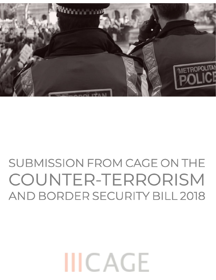## SUBMISSION FROM CAGE ON THE COUNTER-TERRORISM AND BORDER SECURITY BILL 2018

# **IIICAGE**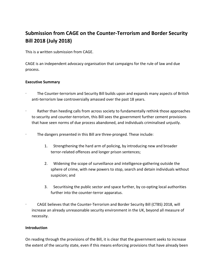### **Submission from CAGE on the Counter-Terrorism and Border Security Bill 2018 (July 2018)**

This is a written submission from CAGE.

CAGE is an independent advocacy organisation that campaigns for the rule of law and due process.

#### **Executive Summary**

- · The Counter-terrorism and Security Bill builds upon and expands many aspects of British anti-terrorism law controversially amassed over the past 18 years.
- Rather than heeding calls from across society to fundamentally rethink those approaches to security and counter-terrorism, this Bill sees the government further cement provisions that have seen norms of due process abandoned, and individuals criminalised unjustly.
- · The dangers presented in this Bill are three-pronged. These include:
	- 1. Strengthening the hard arm of policing, by introducing new and broader terror-related offences and longer prison sentences;
	- 2. Widening the scope of surveillance and intelligence-gathering outside the sphere of crime, with new powers to stop, search and detain individuals without suspicion; and
	- 3. Securitising the public sector and space further, by co-opting local authorities further into the counter-terror apparatus.
- · CAGE believes that the Counter-Terrorism and Border Security Bill (CTBS) 2018, will increase an already unreasonable security environment in the UK, beyond all measure of necessity.

#### **Introduction**

On reading through the provisions of the Bill, it is clear that the government seeks to increase the extent of the security state, even if this means enforcing provisions that have already been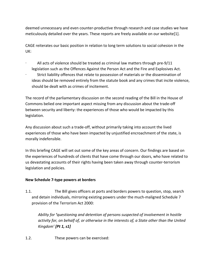deemed unnecessary and even counter-productive through research and case studies we have meticulously detailed over the years. These reports are freely available on our website[1].

CAGE reiterates our basic position in relation to long term solutions to social cohesion in the UK:

- All acts of violence should be treated as criminal law matters through pre-9/11 legislation such as the Offences Against the Person Act and the Fire and Explosives Act.
- · Strict liability offences that relate to possession of materials or the dissemination of ideas should be removed entirely from the statute book and any crimes that incite violence, should be dealt with as crimes of incitement.

The record of the parliamentary discussion on the second reading of the Bill in the House of Commons belied one important aspect missing from any discussion about the trade-off between security and liberty: the experiences of those who would be impacted by this legislation.

Any discussion about such a trade-off, without primarily taking into account the lived experiences of those who have been impacted by unjustified encroachment of the state, is morally indefensible.

In this briefing CAGE will set out some of the key areas of concern. Our findings are based on the experiences of hundreds of clients that have come through our doors, who have related to us devastating accounts of their rights having been taken away through counter-terrorism legislation and policies.

#### **New Schedule 7-type powers at borders**

1.1. The Bill gives officers at ports and borders powers to question, stop, search and detain individuals, mirroring existing powers under the much-maligned Schedule 7 provision of the Terrorism Act 2000:

*Ability for 'questioning and detention of persons suspected of involvement in hostile activity for, on behalf of, or otherwise in the interests of, a State other than the United Kingdom' [Pt 1, s1]*

1.2. These powers can be exercised: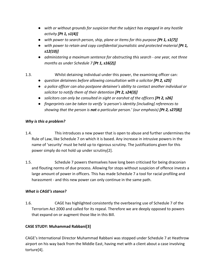- *with or without grounds for suspicion that the subject has engaged in any hostile activity [Pt 1, s1(4)]*
- *with power to search person, ship, plane or items for this purpose [Pt 1, s1(7)]*
- *with power to retain and copy confidential journalistic and protected material* [Pt 1, *s12(10)]*
- *administering a maximum sentence for obstructing this search one year, not three months as under Schedule 7 [Pt 1, s16(2)]*
- 1.3. Whilst detaining individual under this power, the examining officer can:
	- *question detainees before allowing consultation with a solicitor* [Pt 2, s25]
	- *a police officer can also postpone detainee's ability to contact another individual or solicitor to notify them of their detention [Pt 2, s24(3)]*
	- *solicitors can only be consulted in sight or earshot of the officers [Pt 2, s26]*
	- *fingerprints can be taken to verify 'a person's identity [including] references to showing that the person is not a particular person.' (our emphasis) [Pt 2, s27(8)]*

#### *Why is this a problem?*

- 1.4. This introduces a new power that is open to abuse and further undermines the Rule of Law, like Schedule 7 on which it is based. Any increase in intrusive powers in the name of 'security' must be held up to rigorous scrutiny. The justifications given for this power simply do not hold up under scrutiny[2].
- 1.5. Schedule 7 powers themselves have long been criticised for being draconian and flouting norms of due process. Allowing for stops without suspicion of offence invests a large amount of power in officers. This has made Schedule 7 a tool for racial profiling and harassment - and this new power can only continue in the same path.

#### *What is CAGE's stance?*

1.6. CAGE has highlighted consistently the overbearing use of Schedule 7 of the Terrorism Act 2000 and called for its repeal. Therefore we are deeply opposed to powers that expand on or augment those like in this Bill.

#### **CASE STUDY: Muhammad Rabbani[3]**

CAGE's International Director Muhammad Rabbani was stopped under Schedule 7 at Heathrow airport on his way back from the Middle East, having met with a client about a case involving torture[4].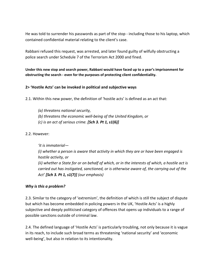He was told to surrender his passwords as part of the stop - including those to his laptop, which contained confidential material relating to the client's case.

Rabbani refused this request, was arrested, and later found guilty of wilfully obstructing a police search under Schedule 7 of the Terrorism Act 2000 and fined.

**Under this new stop and search power, Rabbani would have faced up to a year's imprisonment for obstructing the search - even for the purposes of protecting client confidentiality.**

#### **2> 'Hostile Acts' can be invoked in political and subjective ways**

2.1. Within this new power, the definition of 'hostile acts' is defined as an act that:

*(a) threatens national security, (b) threatens the economic well-being of the United Kingdom, or (c) is an act of serious crime. [Sch 3. Pt 1, s1(6)]*

2.2. However:

*'it is immaterial— (i) whether a person is aware that activity in which they are or have been engaged is hostile activity, or (ii) whether a State for or on behalf of which, or in the interests of which, a hostile act is carried out has instigated, sanctioned, or is otherwise aware of, the carrying out of the Act' [Sch 3. Pt 1, s1(7)] (our emphasis)*

#### *Why is this a problem?*

2.3. Similar to the category of 'extremism', the definition of which is still the subject of dispute but which has become embedded in policing powers in the UK, 'Hostile Acts' is a highly subjective and deeply politicised category of offences that opens up individuals to a range of possible sanctions outside of criminal law.

2.4. The defined language of 'Hostile Acts' is particularly troubling, not only because it is vague in its reach, to include such broad terms as threatening 'national security' and 'economic well-being', but also in relation to its intentionality.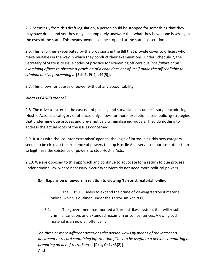2.5. Seemingly from this draft legislation, a person could be stopped for something that they may have done, and yet they may be completely unaware that what they have done is wrong in the eyes of the state. This means anyone can be stopped at the state's discretion.

2.6. This is further exacerbated by the provisions in the Bill that provide cover to officers who make mistakes in the way in which they conduct their examinations. Under Schedule 2, the Secretary of State is to issue codes of practice for examining officers but *'The failure of an examining officer to observe a provision of a code does not of itself make the officer liable to criminal or civil proceedings.'* **[Sch 2. Pt 4, s49(5)].**

2.7. This allows for abuses of power without any accountability.

#### *What is CAGE's stance?*

2.8. The drive to 'stretch' the cast net of policing and surveillance is unnecessary - introducing 'Hostile Acts' as a category of offences only allows for more 'exceptionalised' policing strategies that undermine due process and pre-emptively criminalise individuals. They do nothing to address the actual roots of the issues concerned.

2.9. Just as with the 'counter extremism' agenda, the logic of introducing this new category seems to be circular: the existence of powers to stop Hostile Acts serves no purpose other than to legitimise the existence of powers to stop Hostile Acts.

2.10. We are opposed to this approach and continue to advocate for a return to due process under criminal law where necessary. Security services do not need more political powers.

#### **3> Expansion of powers in relation to viewing 'terrorist material' online**

- 3.1. The CTBS Bill seeks to expand the crime of viewing 'terrorist material' online, which is outlined under the Terrorism Act 2000.
- 3.2. The government has mooted a 'three strikes' system, that will result in a criminal sanction, and extended maximum prison sentences. Viewing such material is an now an offence if:

*'on three or more different occasions the person views by means of the internet a document or record containing information [likely to be useful to a person committing or preparing an act of terrorism]'."* **[Pt 1, Ch1. s3(2)]** And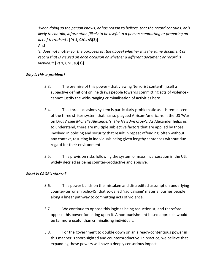*'when doing so the person knows, or has reason to believe, that the record contains, or is likely to contain, information [likely to be useful to a person committing or preparing an act of terrorism]'.* **[Pt 1, Ch1. s3(3)]**

And

*'It does not matter for the purposes of [the above] whether it is the same document or record that is viewed on each occasion or whether a different document or record is viewed."'* **[Pt 1, Ch1. s3(3)]**

#### *Why is this a problem?*

- 3.3. The premise of this power that viewing 'terrorist content' (itself a subjective definition) online draws people towards committing acts of violence cannot justify the wide-ranging criminalisation of activities here.
- 3.4. This three occasions system is particularly problematic as it is reminiscent of the three strikes system that has so plagued African-Americans in the US 'War on Drugs' *(see Michelle Alexander's 'The New Jim Crow')*. As Alexander helps us to understand, there are multiple subjective factors that are applied by those involved in policing and security that result in repeat offending, often without any context, resulting in individuals being given lengthy sentences without due regard for their environment.
- 3.5. This provision risks following the system of mass incarceration in the US, widely decried as being counter-productive and abusive.

#### *What is CAGE's stance?*

- 3.6. This power builds on the mistaken and discredited assumption underlying counter-terrorism policy[5] that so-called 'radicalising' material pushes people along a linear pathway to committing acts of violence.
- 3.7. We continue to oppose this logic as being reductionist, and therefore oppose this power for acting upon it. A non-punishment based approach would be far more useful than criminalising individuals.
- 3.8. For the government to double down on an already-contentious power in this manner is short-sighted and counterproductive. In practice, we believe that expanding these powers will have a deeply censorious impact.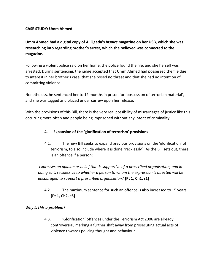#### **CASE STUDY: Umm Ahmed**

**Umm Ahmed had a digital copy of Al Qaeda's** *Inspire* **magazine on her USB, which she was researching into regarding brother's arrest, which she believed was connected to the magazine.**

Following a violent police raid on her home, the police found the file, and she herself was arrested. During sentencing, the judge accepted that Umm Ahmed had possessed the file due to interest in her brother's case, that she posed no threat and that she had no intention of committing violence.

Nonetheless, he sentenced her to 12 months in prison for 'possession of terrorism material', and she was tagged and placed under curfew upon her release.

With the provisions of this Bill, there is the very real possibility of miscarriages of justice like this occurring more often and people being imprisoned without any intent of criminality.

#### **4. Expansion of the 'glorification of terrorism' provisions**

4.1. The new Bill seeks to expand previous provisions on the 'glorification' of terrorism, to also include where it is done "recklessly". As the Bill sets out, there is an offence if a person:

*'expresses an opinion or belief that is supportive of a proscribed organisation, and in doing so is reckless as to whether a person to whom the expression is directed will be encouraged to support a proscribed organisation.'* **[Pt 1, Ch1. s1]**

4.2. The maximum sentence for such an offence is also increased to 15 years. **[Pt 1, Ch2. s6]**

#### *Why is this a problem?*

4.3. 'Glorification' offences under the Terrorism Act 2006 are already controversial, marking a further shift away from prosecuting actual acts of violence towards policing thought and behaviour.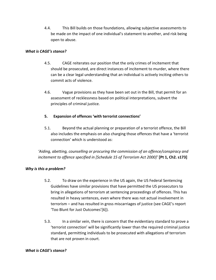4.4. This Bill builds on those foundations, allowing subjective assessments to be made on the impact of one individual's statement to another, and risk being open to abuse.

#### *What is CAGE's stance?*

- 4.5. CAGE reiterates our position that the only crimes of incitement that should be prosecuted, are direct instances of incitement to murder, where there can be a clear legal understanding that an individual is actively inciting others to commit acts of violence.
- 4.6. Vague provisions as they have been set out in the Bill, that permit for an assessment of recklessness based on political interpretations, subvert the principles of criminal justice.

#### **5. Expansion of offences 'with terrorist connections'**

5.1. Beyond the actual planning or preparation of a terrorist offence, the Bill also includes the emphasis on also charging those offences that have a 'terrorist connection' which is understood as:

*'Aiding, abetting, counselling or procuring the commission of an offence/conspiracy and incitement to offence specified in [Schedule 15 of Terrorism Act 2000]'* **[Pt 1, Ch2. s173]**

#### *Why is this a problem?*

- 5.2. To draw on the experience in the US again, the US Federal Sentencing Guidelines have similar provisions that have permitted the US prosecutors to bring in allegations of terrorism at sentencing proceedings of offences. This has resulted in heavy sentences, even where there was not actual involvement in terrorism – and has resulted in gross miscarriages of justice (see CAGE's report 'Too Blunt for Just Outcomes'[6]).
- 5.3. In a similar vein, there is concern that the evidentiary standard to prove a 'terrorist connection' will be significantly lower than the required criminal justice standard, permitting individuals to be prosecuted with allegations of terrorism that are not proven in court.

#### *What is CAGE's stance?*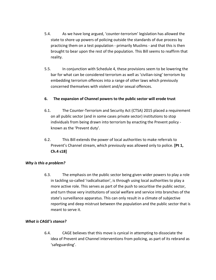- 5.4. As we have long argued, 'counter-terrorism' legislation has allowed the state to shore up powers of policing outside the standards of due process by practicing them on a test population - primarily Muslims - and that this is then brought to bear upon the rest of the population. This Bill seems to reaffirm that reality.
- 5.5. In conjunction with Schedule 4, these provisions seem to be lowering the bar for what can be considered terrorism as well as 'civilian-ising' terrorism by embedding terrorism offences into a range of other laws which previously concerned themselves with violent and/or sexual offences.

#### **6. The expansion of Channel powers to the public sector will erode trust**

- 6.1. The Counter-Terrorism and Security Act (CTSA) 2015 placed a requirement on all public sector (and in some cases private sector) institutions to stop individuals from being drawn into terrorism by enacting the Prevent policy known as the 'Prevent duty'.
- 6.2. This Bill extends the power of local authorities to make referrals to Prevent's Channel stream, which previously was allowed only to police. **[Pt 1, Ch.4 s18]**

#### *Why is this a problem?*

6.3. The emphasis on the public sector being given wider powers to play a role in tackling so-called 'radicalisation', is through using local authorities to play a more active role. This serves as part of the push to securitise the public sector, and turn those very institutions of social welfare and service into branches of the state's surveillance apparatus. This can only result in a climate of subjective reporting and deep mistrust between the population and the public sector that is meant to serve it.

#### *What is CAGE's stance?*

6.4. CAGE believes that this move is cynical in attempting to dissociate the idea of Prevent and Channel interventions from policing, as part of its rebrand as 'safeguarding'.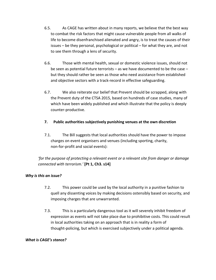- 6.5. As CAGE has written about in many reports, we believe that the best way to combat the risk factors that might cause vulnerable people from all walks of life to become disenfranchised alienated and angry, is to treat the causes of their issues – be they personal, psychological or political – for what they are, and not to see them through a lens of security.
- 6.6. Those with mental health, sexual or domestic violence issues, should not be seen as potential future terrorists – as we have documented to be the case – but they should rather be seen as those who need assistance from established and objective sectors with a track-record in effective safeguarding.
- 6.7. We also reiterate our belief that Prevent should be scrapped, along with the Prevent duty of the CTSA 2015, based on hundreds of case studies, many of which have been widely published and which illustrate that the policy is deeply counter-productive.
- **7. Public authorities subjectively punishing venues at the own discretion**
- 7.1. The Bill suggests that local authorities should have the power to impose charges on event organisers and venues (including sporting, charity, non-for-profit and social events):

*'for the purpose of protecting a relevant event or a relevant site from danger or damage connected with terrorism.'* **[Pt 1, Ch3. s14]**

#### *Why is this an issue?*

- 7.2. This power could be used by the local authority in a punitive fashion to quell any dissenting voices by making decisions ostensibly based on security, and imposing charges that are unwarranted.
- 7.3. This is a particularly dangerous tool as it will severely inhibit freedom of expression as events will not take place due to prohibitive costs. This could result in local authorities taking on an approach that is in reality a form of thought-policing, but which is exercised subjectively under a political agenda.

#### *What is CAGE's stance?*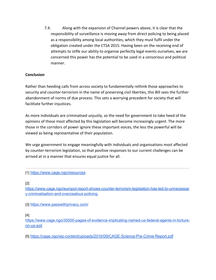7.4. Along with the expansion of Channel powers above, it is clear that the responsibility of surveillance is moving away from direct policing to being placed as a responsibility among local authorities, which they must fulfil under the obligation created under the CTSA 2015. Having been on the receiving end of attempts to stifle our ability to organise perfectly legal events ourselves, we are concerned this power has the potential to be used in a censorious and political manner.

#### **Conclusion**

Rather than heeding calls from across society to fundamentally rethink those approaches to security and counter-terrorism in the name of preserving civil liberties, this Bill sees the further abandonment of norms of due process. This sets a worrying precedent for society that will facilitate further injustices.

As more individuals are criminalised unjustly, so the need for government to take heed of the opinions of those most affected by this legislation will become increasingly urgent. The more those in the corridors of power ignore these important voices, the less the powerful will be viewed as being representative of their population.

We urge government to engage meaningfully with individuals and organisations most affected by counter-terrorism legislation, so that positive responses to our current challenges can be arrived at in a manner that ensures equal justice for all.

#### [1[\]](https://www.cage.ngo/resources) <https://www.cage.ngo/resources>

#### [2[\]](https://www.cage.ngo/europol-report-shows-counter-terrorism-legislation-has-led-to-unnecessary-criminalisation-and-overzealous-policing)

[https://www.cage.ngo/europol-report-shows-counter-terrorism-legislation-has-led-to-unnecessar](https://www.cage.ngo/europol-report-shows-counter-terrorism-legislation-has-led-to-unnecessary-criminalisation-and-overzealous-policing) [y-criminalisation-and-overzealous-policing](https://www.cage.ngo/europol-report-shows-counter-terrorism-legislation-has-led-to-unnecessary-criminalisation-and-overzealous-policing)

[3[\]](https://www.passwithprivacy.com/) <https://www.passwithprivacy.com/>

#### [4[\]](https://www.cage.ngo/35000-pages-of-evidence-implicating-named-us-federal-agents-in-torture-on-us-soil)

[https://www.cage.ngo/35000-pages-of-evidence-implicating-named-us-federal-agents-in-torture](https://www.cage.ngo/35000-pages-of-evidence-implicating-named-us-federal-agents-in-torture-on-us-soil)[on-us-soil](https://www.cage.ngo/35000-pages-of-evidence-implicating-named-us-federal-agents-in-torture-on-us-soil)

[5[\]](https://cage.ngo/wp-content/uploads/2016/09/CAGE-Science-Pre-Crime-Report.pdf) <https://cage.ngo/wp-content/uploads/2016/09/CAGE-Science-Pre-Crime-Report.pdf>